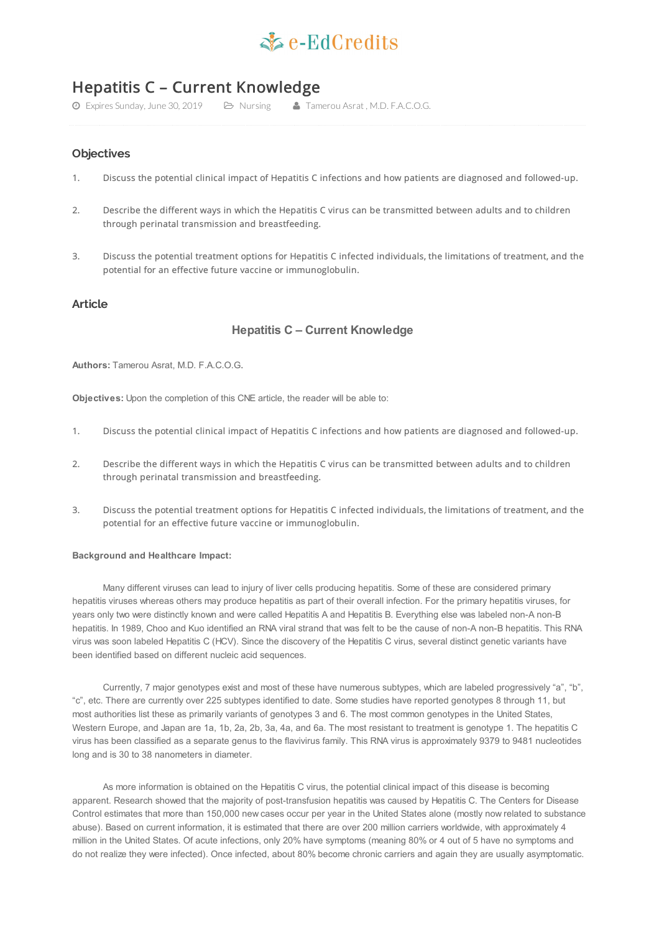# $\leq c$ -EdCredits

# Hepatitis C – Current Knowledge

Expires Sunday, June 30, 2019 Nursing Tamerou Asrat , M.D. F.A.C.O.G.

# **Objectives**

- 1. Discuss the potential clinical impact of Hepatitis C infections and how patients are diagnosed and followed-up.
- 2. Describe the different ways in which the Hepatitis C virus can be transmitted between adults and to children through perinatal transmission and breastfeeding.
- 3. Discuss the potential treatment options for Hepatitis C infected individuals, the limitations of treatment, and the potential for an effective future vaccine or immunoglobulin.

# **Article**

# **Hepatitis C – Current Knowledge**

**Authors:** Tamerou Asrat, M.D. F.A.C.O.G.

**Objectives:** Upon the completion of this CNE article, the reader will be able to:

- 1. Discuss the potential clinical impact of Hepatitis C infections and how patients are diagnosed and followed-up.
- 2. Describe the different ways in which the Hepatitis C virus can be transmitted between adults and to children through perinatal transmission and breastfeeding.
- 3. Discuss the potential treatment options for Hepatitis C infected individuals, the limitations of treatment, and the potential for an effective future vaccine or immunoglobulin.

#### **Background and Healthcare Impact:**

Many different viruses can lead to injury of liver cells producing hepatitis. Some of these are considered primary hepatitis viruses whereas others may produce hepatitis as part of their overall infection. For the primary hepatitis viruses, for years only two were distinctly known and were called Hepatitis A and Hepatitis B. Everything else was labeled non-A non-B hepatitis. In 1989, Choo and Kuo identified an RNA viral strand that was felt to be the cause of non-A non-B hepatitis. This RNA virus was soon labeled Hepatitis C (HCV). Since the discovery of the Hepatitis C virus, several distinct genetic variants have been identified based on different nucleic acid sequences.

Currently, 7 major genotypes exist and most of these have numerous subtypes, which are labeled progressively "a", "b", "c", etc. There are currently over 225 subtypes identified to date. Some studies have reported genotypes 8 through 11, but most authorities list these as primarily variants of genotypes 3 and 6. The most common genotypes in the United States, Western Europe, and Japan are 1a, 1b, 2a, 2b, 3a, 4a, and 6a. The most resistant to treatment is genotype 1. The hepatitis C virus has been classified as a separate genus to the flavivirus family. This RNA virus is approximately 9379 to 9481 nucleotides long and is 30 to 38 nanometers in diameter.

As more information is obtained on the Hepatitis C virus, the potential clinical impact of this disease is becoming apparent. Research showed that the majority of post-transfusion hepatitis was caused by Hepatitis C. The Centers for Disease Control estimates that more than 150,000 new cases occur per year in the United States alone (mostly now related to substance abuse). Based on current information, it is estimated that there are over 200 million carriers worldwide, with approximately 4 million in the United States. Of acute infections, only 20% have symptoms (meaning 80% or 4 out of 5 have no symptoms and do not realize they were infected). Once infected, about 80% become chronic carriers and again they are usually asymptomatic.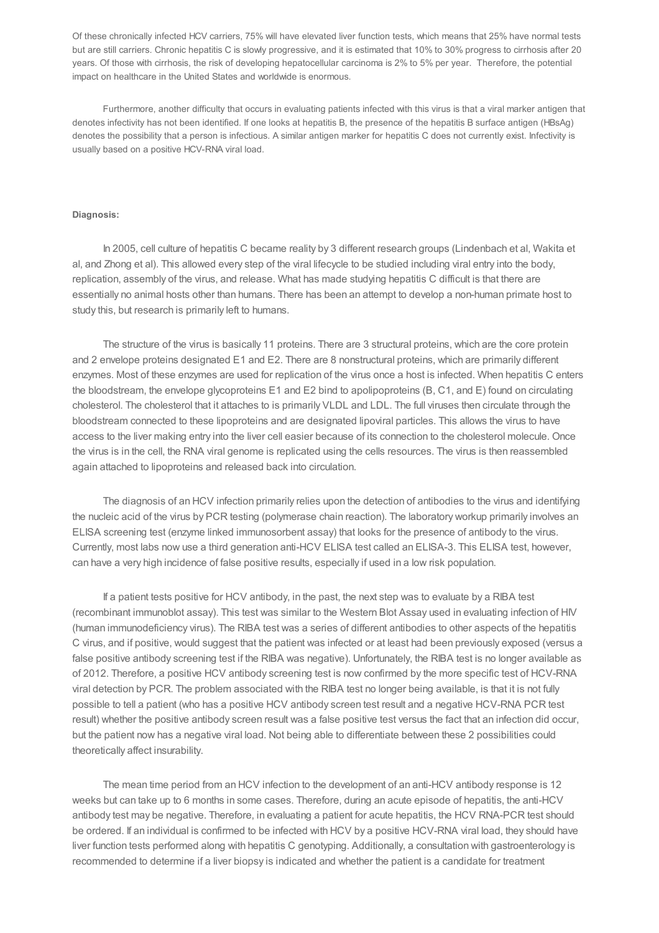Of these chronically infected HCV carriers, 75% will have elevated liver function tests, which means that 25% have normal tests but are still carriers. Chronic hepatitis C is slowly progressive, and it is estimated that 10% to 30% progress to cirrhosis after 20 years. Of those with cirrhosis, the risk of developing hepatocellular carcinoma is 2% to 5% per year. Therefore, the potential impact on healthcare in the United States and worldwide is enormous.

Furthermore, another difficulty that occurs in evaluating patients infected with this virus is that a viral marker antigen that denotes infectivity has not been identified. If one looks at hepatitis B, the presence of the hepatitis B surface antigen (HBsAg) denotes the possibility that a person is infectious. A similar antigen marker for hepatitis C does not currently exist. Infectivity is usually based on a positive HCV-RNA viral load.

#### **Diagnosis:**

In 2005, cell culture of hepatitis C became reality by 3 different research groups (Lindenbach et al, Wakita et al, and Zhong et al). This allowed every step of the viral lifecycle to be studied including viral entry into the body, replication, assembly of the virus, and release. What has made studying hepatitis C difficult is that there are essentially no animal hosts other than humans. There has been an attempt to develop a non-human primate host to study this, but research is primarily left to humans.

The structure of the virus is basically 11 proteins. There are 3 structural proteins, which are the core protein and 2 envelope proteins designated E1 and E2. There are 8 nonstructural proteins, which are primarily different enzymes. Most of these enzymes are used for replication of the virus once a host is infected. When hepatitis C enters the bloodstream, the envelope glycoproteins E1 and E2 bind to apolipoproteins (B, C1, and E) found on circulating cholesterol. The cholesterol that it attaches to is primarily VLDL and LDL. The full viruses then circulate through the bloodstream connected to these lipoproteins and are designated lipoviral particles. This allows the virus to have access to the liver making entry into the liver cell easier because of its connection to the cholesterol molecule. Once the virus is in the cell, the RNA viral genome is replicated using the cells resources. The virus is then reassembled again attached to lipoproteins and released back into circulation.

The diagnosis of an HCV infection primarily relies upon the detection of antibodies to the virus and identifying the nucleic acid of the virus by PCR testing (polymerase chain reaction). The laboratory workup primarily involves an ELISA screening test (enzyme linked immunosorbent assay) that looks for the presence of antibody to the virus. Currently, most labs now use a third generation anti-HCV ELISA test called an ELISA-3. This ELISA test, however, can have a very high incidence of false positive results, especially if used in a low risk population.

If a patient tests positive for HCV antibody, in the past, the next step was to evaluate by a RIBA test (recombinant immunoblot assay). This test was similar to the Western Blot Assay used in evaluating infection of HIV (human immunodeficiency virus). The RIBA test was a series of different antibodies to other aspects of the hepatitis C virus, and if positive, would suggest that the patient was infected or at least had been previously exposed (versus a false positive antibody screening test if the RIBA was negative). Unfortunately, the RIBA test is no longer available as of 2012. Therefore, a positive HCV antibody screening test is now confirmed by the more specific test of HCV-RNA viral detection by PCR. The problem associated with the RIBA test no longer being available, is that it is not fully possible to tell a patient (who has a positive HCV antibody screen test result and a negative HCV-RNA PCR test result) whether the positive antibody screen result was a false positive test versus the fact that an infection did occur, but the patient now has a negative viral load. Not being able to differentiate between these 2 possibilities could theoretically affect insurability.

The mean time period from an HCV infection to the development of an anti-HCV antibody response is 12 weeks but can take up to 6 months in some cases. Therefore, during an acute episode of hepatitis, the anti-HCV antibody test may be negative. Therefore, in evaluating a patient for acute hepatitis, the HCV RNA-PCR test should be ordered. If an individual is confirmed to be infected with HCV by a positive HCV-RNA viral load, they should have liver function tests performed along with hepatitis C genotyping. Additionally, a consultation with gastroenterology is recommended to determine if a liver biopsy is indicated and whether the patient is a candidate for treatment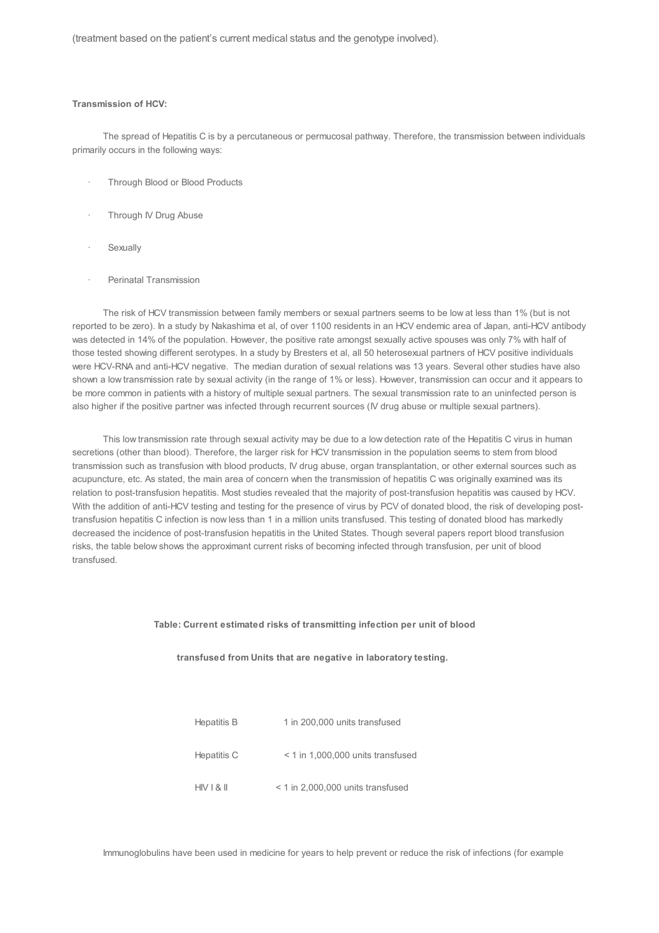(treatment based on the patient's current medical status and the genotype involved).

### **Transmission of HCV:**

The spread of Hepatitis C is by a percutaneous or permucosal pathway. Therefore, the transmission between individuals primarily occurs in the following ways:

- · Through Blood or Blood Products
- Through IV Drug Abuse
- **Sexually**
- Perinatal Transmission

The risk of HCV transmission between family members or sexual partners seems to be low at less than 1% (but is not reported to be zero). In a study by Nakashima et al, of over 1100 residents in an HCV endemic area of Japan, anti-HCV antibody was detected in 14% of the population. However, the positive rate amongst sexually active spouses was only 7% with half of those tested showing different serotypes. In a study by Bresters et al, all 50 heterosexual partners of HCV positive individuals were HCV-RNA and anti-HCV negative. The median duration of sexual relations was 13 years. Several other studies have also shown a low transmission rate by sexual activity (in the range of 1% or less). However, transmission can occur and it appears to be more common in patients with a history of multiple sexual partners. The sexual transmission rate to an uninfected person is also higher if the positive partner was infected through recurrent sources (IV drug abuse or multiple sexual partners).

This low transmission rate through sexual activity may be due to a low detection rate of the Hepatitis C virus in human secretions (other than blood). Therefore, the larger risk for HCV transmission in the population seems to stem from blood transmission such as transfusion with blood products, IV drug abuse, organ transplantation, or other external sources such as acupuncture, etc. As stated, the main area of concern when the transmission of hepatitis C was originally examined was its relation to post-transfusion hepatitis. Most studies revealed that the majority of post-transfusion hepatitis was caused by HCV. With the addition of anti-HCV testing and testing for the presence of virus by PCV of donated blood, the risk of developing posttransfusion hepatitis C infection is now less than 1 in a million units transfused. This testing of donated blood has markedly decreased the incidence of post-transfusion hepatitis in the United States. Though several papers report blood transfusion risks, the table below shows the approximant current risks of becoming infected through transfusion, per unit of blood transfused.

#### **Table: Current estimated risks of transmitting infection per unit of blood**

#### **transfused from Units that are negative in laboratory testing.**

| Hepatitis B | 1 in 200,000 units transfused       |
|-------------|-------------------------------------|
| Hepatitis C | $<$ 1 in 1,000,000 units transfused |
| HIVI & N    | < 1 in 2,000,000 units transfused   |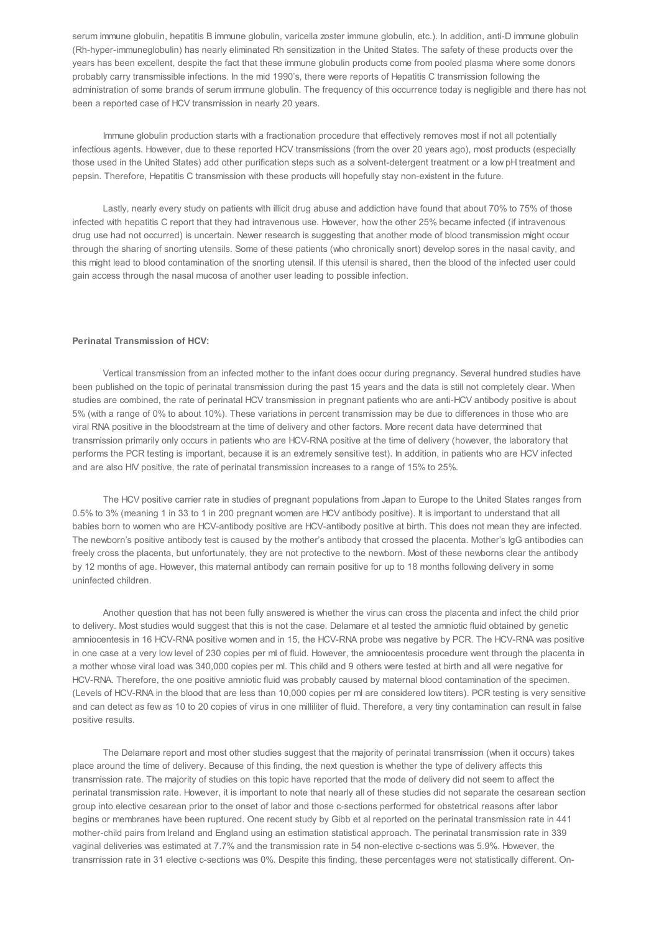serum immune globulin, hepatitis B immune globulin, varicella zoster immune globulin, etc.). In addition, anti-D immune globulin (Rh-hyper-immuneglobulin) has nearly eliminated Rh sensitization in the United States. The safety of these products over the years has been excellent, despite the fact that these immune globulin products come from pooled plasma where some donors probably carry transmissible infections. In the mid 1990's, there were reports of Hepatitis C transmission following the administration of some brands of serum immune globulin. The frequency of this occurrence today is negligible and there has not been a reported case of HCV transmission in nearly 20 years.

Immune globulin production starts with a fractionation procedure that effectively removes most if not all potentially infectious agents. However, due to these reported HCV transmissions (from the over 20 years ago), most products (especially those used in the United States) add other purification steps such as a solvent-detergent treatment or a low pH treatment and pepsin. Therefore, Hepatitis C transmission with these products will hopefully stay non-existent in the future.

Lastly, nearly every study on patients with illicit drug abuse and addiction have found that about 70% to 75% of those infected with hepatitis C report that they had intravenous use. However, how the other 25% became infected (if intravenous drug use had not occurred) is uncertain. Newer research is suggesting that another mode of blood transmission might occur through the sharing of snorting utensils. Some of these patients (who chronically snort) develop sores in the nasal cavity, and this might lead to blood contamination of the snorting utensil. If this utensil is shared, then the blood of the infected user could gain access through the nasal mucosa of another user leading to possible infection.

#### **Perinatal Transmission of HCV:**

Vertical transmission from an infected mother to the infant does occur during pregnancy. Several hundred studies have been published on the topic of perinatal transmission during the past 15 years and the data is still not completely clear. When studies are combined, the rate of perinatal HCV transmission in pregnant patients who are anti-HCV antibody positive is about 5% (with a range of 0% to about 10%). These variations in percent transmission may be due to differences in those who are viral RNA positive in the bloodstream at the time of delivery and other factors. More recent data have determined that transmission primarily only occurs in patients who are HCV-RNA positive at the time of delivery (however, the laboratory that performs the PCR testing is important, because it is an extremely sensitive test). In addition, in patients who are HCV infected and are also HIV positive, the rate of perinatal transmission increases to a range of 15% to 25%.

The HCV positive carrier rate in studies of pregnant populations from Japan to Europe to the United States ranges from 0.5% to 3% (meaning 1 in 33 to 1 in 200 pregnant women are HCV antibody positive). It is important to understand that all babies born to women who are HCV-antibody positive are HCV-antibody positive at birth. This does not mean they are infected. The newborn's positive antibody test is caused by the mother's antibody that crossed the placenta. Mother's IgG antibodies can freely cross the placenta, but unfortunately, they are not protective to the newborn. Most of these newborns clear the antibody by 12 months of age. However, this maternal antibody can remain positive for up to 18 months following delivery in some uninfected children.

Another question that has not been fully answered is whether the virus can cross the placenta and infect the child prior to delivery. Most studies would suggest that this is not the case. Delamare et al tested the amniotic fluid obtained by genetic amniocentesis in 16 HCV-RNA positive women and in 15, the HCV-RNA probe was negative by PCR. The HCV-RNA was positive in one case at a very low level of 230 copies per ml of fluid. However, the amniocentesis procedure went through the placenta in a mother whose viral load was 340,000 copies per ml. This child and 9 others were tested at birth and all were negative for HCV-RNA. Therefore, the one positive amniotic fluid was probably caused by maternal blood contamination of the specimen. (Levels of HCV-RNA in the blood that are less than 10,000 copies per ml are considered low titers). PCR testing is very sensitive and can detect as few as 10 to 20 copies of virus in one milliliter of fluid. Therefore, a very tiny contamination can result in false positive results.

The Delamare report and most other studies suggest that the majority of perinatal transmission (when it occurs) takes place around the time of delivery. Because of this finding, the next question is whether the type of delivery affects this transmission rate. The majority of studies on this topic have reported that the mode of delivery did not seem to affect the perinatal transmission rate. However, it is important to note that nearly all of these studies did not separate the cesarean section group into elective cesarean prior to the onset of labor and those c-sections performed for obstetrical reasons after labor begins or membranes have been ruptured. One recent study by Gibb et al reported on the perinatal transmission rate in 441 mother-child pairs from Ireland and England using an estimation statistical approach. The perinatal transmission rate in 339 vaginal deliveries was estimated at 7.7% and the transmission rate in 54 non-elective c-sections was 5.9%. However, the transmission rate in 31 elective c-sections was 0%. Despite this finding, these percentages were not statistically different. On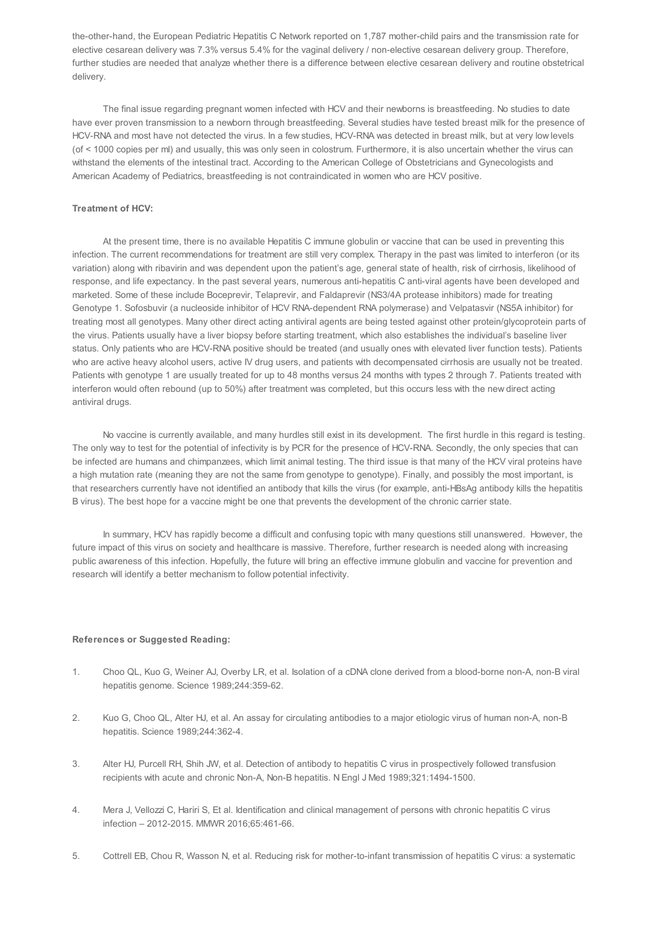the-other-hand, the European Pediatric Hepatitis C Network reported on 1,787 mother-child pairs and the transmission rate for elective cesarean delivery was 7.3% versus 5.4% for the vaginal delivery / non-elective cesarean delivery group. Therefore, further studies are needed that analyze whether there is a difference between elective cesarean delivery and routine obstetrical delivery.

The final issue regarding pregnant women infected with HCV and their newborns is breastfeeding. No studies to date have ever proven transmission to a newborn through breastfeeding. Several studies have tested breast milk for the presence of HCV-RNA and most have not detected the virus. In a few studies, HCV-RNA was detected in breast milk, but at very low levels (of < 1000 copies per ml) and usually, this was only seen in colostrum. Furthermore, it is also uncertain whether the virus can withstand the elements of the intestinal tract. According to the American College of Obstetricians and Gynecologists and American Academy of Pediatrics, breastfeeding is not contraindicated in women who are HCV positive.

#### **Treatment of HCV:**

At the present time, there is no available Hepatitis C immune globulin or vaccine that can be used in preventing this infection. The current recommendations for treatment are still very complex. Therapy in the past was limited to interferon (or its variation) along with ribavirin and was dependent upon the patient's age, general state of health, risk of cirrhosis, likelihood of response, and life expectancy. In the past several years, numerous anti-hepatitis C anti-viral agents have been developed and marketed. Some of these include Boceprevir, Telaprevir, and Faldaprevir (NS3/4A protease inhibitors) made for treating Genotype 1. Sofosbuvir (a nucleoside inhibitor of HCV RNA-dependent RNA polymerase) and Velpatasvir (NS5A inhibitor) for treating most all genotypes. Many other direct acting antiviral agents are being tested against other protein/glycoprotein parts of the virus. Patients usually have a liver biopsy before starting treatment, which also establishes the individual's baseline liver status. Only patients who are HCV-RNA positive should be treated (and usually ones with elevated liver function tests). Patients who are active heavy alcohol users, active IV drug users, and patients with decompensated cirrhosis are usually not be treated. Patients with genotype 1 are usually treated for up to 48 months versus 24 months with types 2 through 7. Patients treated with interferon would often rebound (up to 50%) after treatment was completed, but this occurs less with the new direct acting antiviral drugs.

No vaccine is currently available, and many hurdles still exist in its development. The first hurdle in this regard is testing. The only way to test for the potential of infectivity is by PCR for the presence of HCV-RNA. Secondly, the only species that can be infected are humans and chimpanzees, which limit animal testing. The third issue is that many of the HCV viral proteins have a high mutation rate (meaning they are not the same from genotype to genotype). Finally, and possibly the most important, is that researchers currently have not identified an antibody that kills the virus (for example, anti-HBsAg antibody kills the hepatitis B virus). The best hope for a vaccine might be one that prevents the development of the chronic carrier state.

In summary, HCV has rapidly become a difficult and confusing topic with many questions still unanswered. However, the future impact of this virus on society and healthcare is massive. Therefore, further research is needed along with increasing public awareness of this infection. Hopefully, the future will bring an effective immune globulin and vaccine for prevention and research will identify a better mechanism to follow potential infectivity.

#### **References or Suggested Reading:**

- 1. Choo QL, Kuo G, Weiner AJ, Overby LR, et al. Isolation of a cDNA clone derived from a blood-borne non-A, non-B viral hepatitis genome. Science 1989;244:359-62.
- 2. Kuo G, Choo QL, Alter HJ, et al. An assay for circulating antibodies to a major etiologic virus of human non-A, non-B hepatitis. Science 1989;244:362-4.
- 3. Alter HJ, Purcell RH, Shih JW, et al. Detection of antibody to hepatitis C virus in prospectively followed transfusion recipients with acute and chronic Non-A, Non-B hepatitis. N Engl J Med 1989;321:1494-1500.
- 4. Mera J, Vellozzi C, Hariri S, Et al. Identification and clinical management of persons with chronic hepatitis C virus infection – 2012-2015. MMWR 2016;65:461-66.
- 5. Cottrell EB, Chou R, Wasson N, et al. Reducing risk for mother-to-infant transmission of hepatitis C virus: a systematic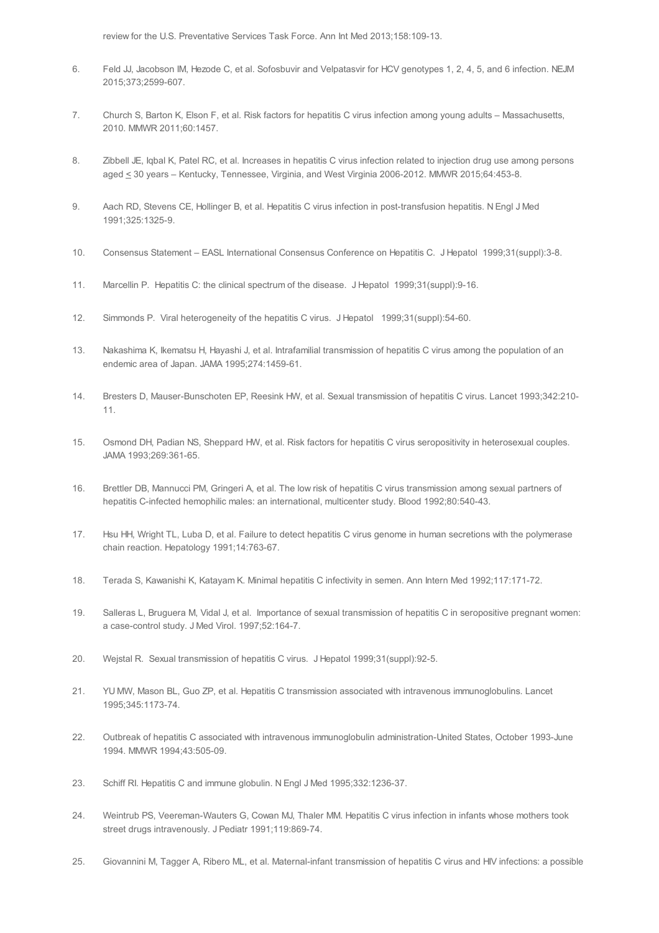review for the U.S. Preventative Services Task Force. Ann Int Med 2013;158:109-13.

- 6. Feld JJ, Jacobson IM, Hezode C, et al. Sofosbuvir and Velpatasvir for HCV genotypes 1, 2, 4, 5, and 6 infection. NEJM 2015;373;2599-607.
- 7. Church S, Barton K, Elson F, et al. Risk factors for hepatitis C virus infection among young adults Massachusetts, 2010. MMWR 2011;60:1457.
- 8. Zibbell JE, Iqbal K, Patel RC, et al. Increases in hepatitis C virus infection related to injection drug use among persons aged < 30 years – Kentucky, Tennessee, Virginia, and West Virginia 2006-2012. MMWR 2015;64:453-8.
- 9. Aach RD, Stevens CE, Hollinger B, et al. Hepatitis C virus infection in post-transfusion hepatitis. N Engl J Med 1991;325:1325-9.
- 10. Consensus Statement EASL International Consensus Conference on Hepatitis C. J Hepatol 1999;31(suppl):3-8.
- 11. Marcellin P. Hepatitis C: the clinical spectrum of the disease. J Hepatol 1999;31(suppl):9-16.
- 12. Simmonds P. Viral heterogeneity of the hepatitis C virus. J Hepatol 1999;31(suppl):54-60.
- 13. Nakashima K, Ikematsu H, Hayashi J, et al. Intrafamilial transmission of hepatitis C virus among the population of an endemic area of Japan. JAMA 1995;274:1459-61.
- 14. Bresters D, Mauser-Bunschoten EP, Reesink HW, et al. Sexual transmission of hepatitis C virus. Lancet 1993;342:210- 11.
- 15. Osmond DH, Padian NS, Sheppard HW, et al. Risk factors for hepatitis C virus seropositivity in heterosexual couples. JAMA 1993;269:361-65.
- 16. Brettler DB, Mannucci PM, Gringeri A, et al. The low risk of hepatitis C virus transmission among sexual partners of hepatitis C-infected hemophilic males: an international, multicenter study. Blood 1992;80:540-43.
- 17. Hsu HH, Wright TL, Luba D, et al. Failure to detect hepatitis C virus genome in human secretions with the polymerase chain reaction. Hepatology 1991;14:763-67.
- 18. Terada S, Kawanishi K, Katayam K. Minimal hepatitis C infectivity in semen. Ann Intern Med 1992;117:171-72.
- 19. Salleras L, Bruguera M, Vidal J, et al. Importance of sexual transmission of hepatitis C in seropositive pregnant women: a case-control study. J Med Virol. 1997;52:164-7.
- 20. Wejstal R. Sexual transmission of hepatitis C virus. J Hepatol 1999;31(suppl):92-5.
- 21. YU MW, Mason BL, Guo ZP, et al. Hepatitis C transmission associated with intravenous immunoglobulins. Lancet 1995;345:1173-74.
- 22. Outbreak of hepatitis C associated with intravenous immunoglobulin administration-United States, October 1993-June 1994. MMWR 1994;43:505-09.
- 23. Schiff RI. Hepatitis C and immune globulin. N Engl J Med 1995;332:1236-37.
- 24. Weintrub PS, Veereman-Wauters G, Cowan MJ, Thaler MM. Hepatitis C virus infection in infants whose mothers took street drugs intravenously. J Pediatr 1991;119:869-74.
- 25. Giovannini M, Tagger A, Ribero ML, et al. Maternal-infant transmission of hepatitis C virus and HIV infections: a possible